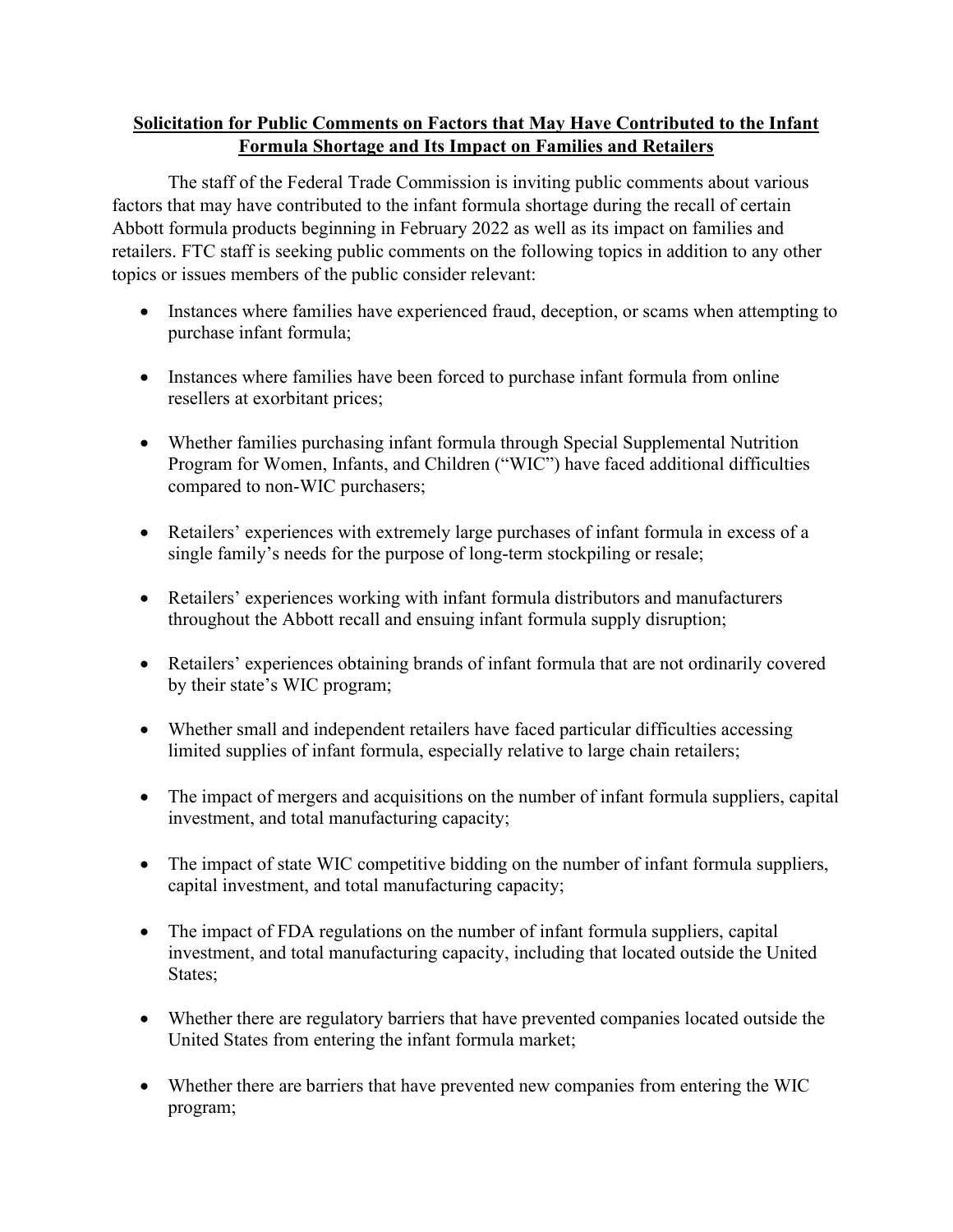## **Solicitation for Public Comments on Factors that May Have Contributed to the Infant Formula Shortage and Its Impact on Families and Retailers**

 The staff of the Federal Trade Commission is inviting public comments about various factors that may have contributed to the infant formula shortage during the recall of certain Abbott formula products beginning in February 2022 as well as its impact on families and retailers. FTC staff is seeking public comments on the following topics in addition to any other topics or issues members of the public consider relevant:

- • Instances where families have experienced fraud, deception, or scams when attempting to purchase infant formula;
- • Instances where families have been forced to purchase infant formula from online resellers at exorbitant prices;
- Whether families purchasing infant formula through Special Supplemental Nutrition Program for Women, Infants, and Children ("WIC") have faced additional difficulties compared to non-WIC purchasers;
- • Retailers' experiences with extremely large purchases of infant formula in excess of a single family's needs for the purpose of long-term stockpiling or resale;
- throughout the Abbott recall and ensuing infant formula supply disruption; • Retailers' experiences working with infant formula distributors and manufacturers
- • Retailers' experiences obtaining brands of infant formula that are not ordinarily covered by their state's WIC program;
- Whether small and independent retailers have faced particular difficulties accessing limited supplies of infant formula, especially relative to large chain retailers;
- • The impact of mergers and acquisitions on the number of infant formula suppliers, capital investment, and total manufacturing capacity;
- • The impact of state WIC competitive bidding on the number of infant formula suppliers, capital investment, and total manufacturing capacity;
- • The impact of FDA regulations on the number of infant formula suppliers, capital investment, and total manufacturing capacity, including that located outside the United States;
- • Whether there are regulatory barriers that have prevented companies located outside the United States from entering the infant formula market;
- Whether there are barriers that have prevented new companies from entering the WIC program;